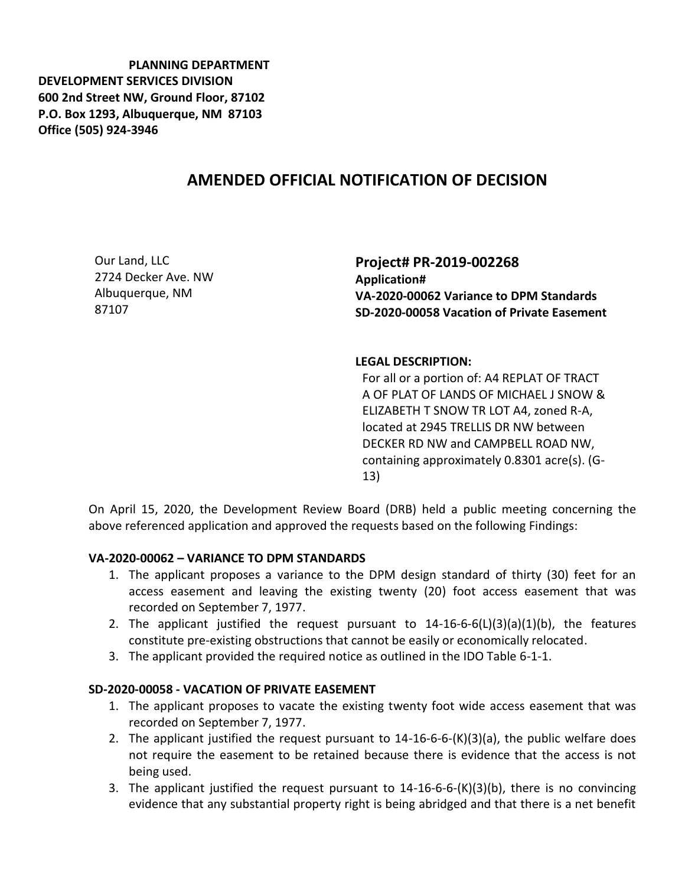**PLANNING DEPARTMENT DEVELOPMENT SERVICES DIVISION 600 2nd Street NW, Ground Floor, 87102 P.O. Box 1293, Albuquerque, NM 87103 Office (505) 924-3946** 

## **AMENDED OFFICIAL NOTIFICATION OF DECISION**

Our Land, LLC 2724 Decker Ave. NW Albuquerque, NM 87107

**Project# PR-2019-002268 Application# VA-2020-00062 Variance to DPM Standards SD-2020-00058 Vacation of Private Easement**

## **LEGAL DESCRIPTION:**

For all or a portion of: A4 REPLAT OF TRACT A OF PLAT OF LANDS OF MICHAEL J SNOW & ELIZABETH T SNOW TR LOT A4, zoned R-A, located at 2945 TRELLIS DR NW between DECKER RD NW and CAMPBELL ROAD NW, containing approximately 0.8301 acre(s). (G-13)

On April 15, 2020, the Development Review Board (DRB) held a public meeting concerning the above referenced application and approved the requests based on the following Findings:

## **VA-2020-00062 – VARIANCE TO DPM STANDARDS**

- 1. The applicant proposes a variance to the DPM design standard of thirty (30) feet for an access easement and leaving the existing twenty (20) foot access easement that was recorded on September 7, 1977.
- 2. The applicant justified the request pursuant to  $14-16-6-6(L)(3)(a)(1)(b)$ , the features constitute pre-existing obstructions that cannot be easily or economically relocated.
- 3. The applicant provided the required notice as outlined in the IDO Table 6-1-1.

## **SD-2020-00058 - VACATION OF PRIVATE EASEMENT**

- 1. The applicant proposes to vacate the existing twenty foot wide access easement that was recorded on September 7, 1977.
- 2. The applicant justified the request pursuant to 14-16-6-6-(K)(3)(a), the public welfare does not require the easement to be retained because there is evidence that the access is not being used.
- 3. The applicant justified the request pursuant to 14-16-6-6-(K)(3)(b), there is no convincing evidence that any substantial property right is being abridged and that there is a net benefit